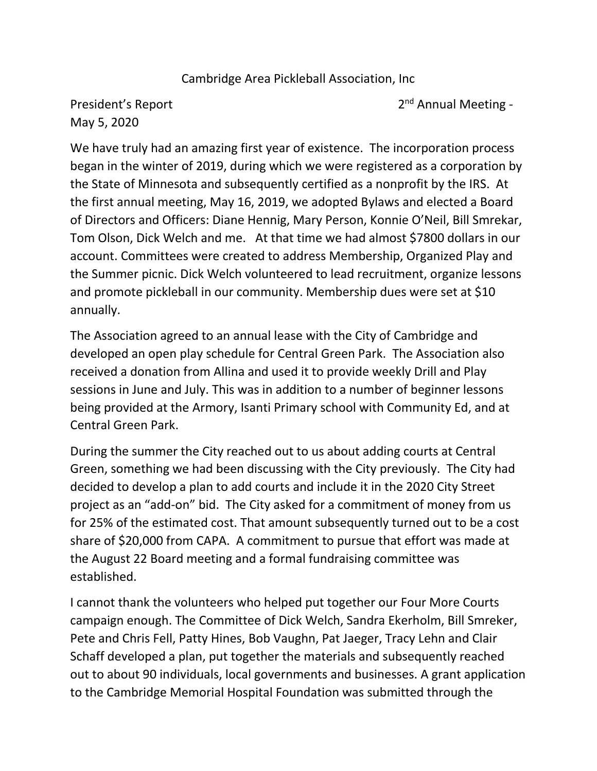## Cambridge Area Pickleball Association, Inc

President's Report May 5, 2020

2<sup>nd</sup> Annual Meeting -

We have truly had an amazing first year of existence. The incorporation process began in the winter of 2019, during which we were registered as a corporation by the State of Minnesota and subsequently certified as a nonprofit by the IRS. At the first annual meeting, May 16, 2019, we adopted Bylaws and elected a Board of Directors and Officers: Diane Hennig, Mary Person, Konnie O'Neil, Bill Smrekar, Tom Olson, Dick Welch and me. At that time we had almost \$7800 dollars in our account. Committees were created to address Membership, Organized Play and the Summer picnic. Dick Welch volunteered to lead recruitment, organize lessons and promote pickleball in our community. Membership dues were set at \$10 annually.

The Association agreed to an annual lease with the City of Cambridge and developed an open play schedule for Central Green Park. The Association also received a donation from Allina and used it to provide weekly Drill and Play sessions in June and July. This was in addition to a number of beginner lessons being provided at the Armory, Isanti Primary school with Community Ed, and at Central Green Park.

During the summer the City reached out to us about adding courts at Central Green, something we had been discussing with the City previously. The City had decided to develop a plan to add courts and include it in the 2020 City Street project as an "add-on" bid. The City asked for a commitment of money from us for 25% of the estimated cost. That amount subsequently turned out to be a cost share of \$20,000 from CAPA. A commitment to pursue that effort was made at the August 22 Board meeting and a formal fundraising committee was established.

I cannot thank the volunteers who helped put together our Four More Courts campaign enough. The Committee of Dick Welch, Sandra Ekerholm, Bill Smreker, Pete and Chris Fell, Patty Hines, Bob Vaughn, Pat Jaeger, Tracy Lehn and Clair Schaff developed a plan, put together the materials and subsequently reached out to about 90 individuals, local governments and businesses. A grant application to the Cambridge Memorial Hospital Foundation was submitted through the